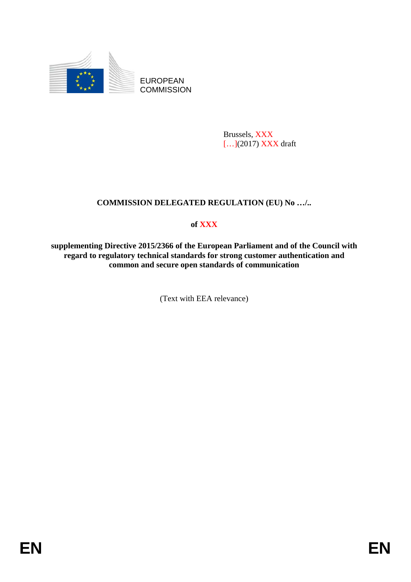

EUROPEAN **COMMISSION** 

> Brussels, XXX [...](2017) **XXX** draft

# **COMMISSION DELEGATED REGULATION (EU) No …/..**

# **of XXX**

**supplementing Directive 2015/2366 of the European Parliament and of the Council with regard to regulatory technical standards for strong customer authentication and common and secure open standards of communication**

(Text with EEA relevance)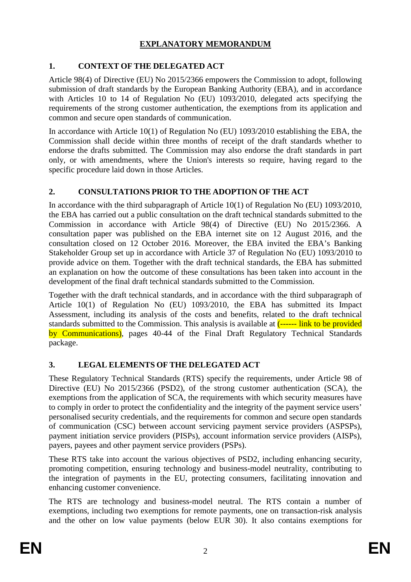# **EXPLANATORY MEMORANDUM**

# **1. CONTEXT OF THE DELEGATED ACT**

Article 98(4) of Directive (EU) No 2015/2366 empowers the Commission to adopt, following submission of draft standards by the European Banking Authority (EBA), and in accordance with Articles 10 to 14 of Regulation No (EU) 1093/2010, delegated acts specifying the requirements of the strong customer authentication, the exemptions from its application and common and secure open standards of communication.

In accordance with Article 10(1) of Regulation No (EU) 1093/2010 establishing the EBA, the Commission shall decide within three months of receipt of the draft standards whether to endorse the drafts submitted. The Commission may also endorse the draft standards in part only, or with amendments, where the Union's interests so require, having regard to the specific procedure laid down in those Articles.

# **2. CONSULTATIONS PRIOR TO THE ADOPTION OF THE ACT**

In accordance with the third subparagraph of Article 10(1) of Regulation No (EU) 1093/2010, the EBA has carried out a public consultation on the draft technical standards submitted to the Commission in accordance with Article 98(4) of Directive (EU) No 2015/2366. A consultation paper was published on the EBA internet site on 12 August 2016, and the consultation closed on 12 October 2016. Moreover, the EBA invited the EBA's Banking Stakeholder Group set up in accordance with Article 37 of Regulation No (EU) 1093/2010 to provide advice on them. Together with the draft technical standards, the EBA has submitted an explanation on how the outcome of these consultations has been taken into account in the development of the final draft technical standards submitted to the Commission.

Together with the draft technical standards, and in accordance with the third subparagraph of Article 10(1) of Regulation No (EU) 1093/2010, the EBA has submitted its Impact Assessment, including its analysis of the costs and benefits, related to the draft technical standards submitted to the Commission. This analysis is available at  $\frac{\cdot}{\cdot}$ ------ link to be provided by Communications), pages 40-44 of the Final Draft Regulatory Technical Standards package.

# **3. LEGAL ELEMENTS OF THE DELEGATED ACT**

These Regulatory Technical Standards (RTS) specify the requirements, under Article 98 of Directive (EU) No 2015/2366 (PSD2), of the strong customer authentication (SCA), the exemptions from the application of SCA, the requirements with which security measures have to comply in order to protect the confidentiality and the integrity of the payment service users' personalised security credentials, and the requirements for common and secure open standards of communication (CSC) between account servicing payment service providers (ASPSPs), payment initiation service providers (PISPs), account information service providers (AISPs), payers, payees and other payment service providers (PSPs).

These RTS take into account the various objectives of PSD2, including enhancing security, promoting competition, ensuring technology and business-model neutrality, contributing to the integration of payments in the EU, protecting consumers, facilitating innovation and enhancing customer convenience.

The RTS are technology and business-model neutral. The RTS contain a number of exemptions, including two exemptions for remote payments, one on transaction-risk analysis and the other on low value payments (below EUR 30). It also contains exemptions for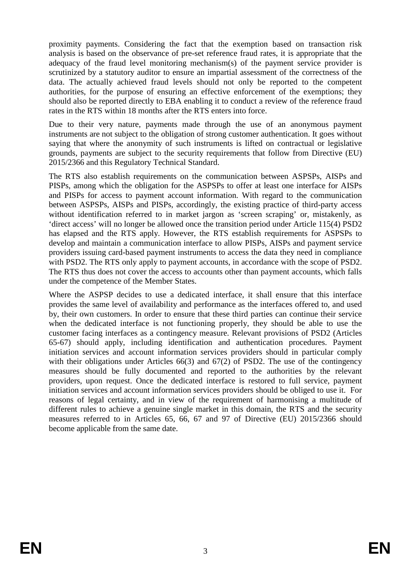proximity payments. Considering the fact that the exemption based on transaction risk analysis is based on the observance of pre-set reference fraud rates, it is appropriate that the adequacy of the fraud level monitoring mechanism(s) of the payment service provider is scrutinized by a statutory auditor to ensure an impartial assessment of the correctness of the data. The actually achieved fraud levels should not only be reported to the competent authorities, for the purpose of ensuring an effective enforcement of the exemptions; they should also be reported directly to EBA enabling it to conduct a review of the reference fraud rates in the RTS within 18 months after the RTS enters into force.

Due to their very nature, payments made through the use of an anonymous payment instruments are not subject to the obligation of strong customer authentication. It goes without saying that where the anonymity of such instruments is lifted on contractual or legislative grounds, payments are subject to the security requirements that follow from Directive (EU) 2015/2366 and this Regulatory Technical Standard.

The RTS also establish requirements on the communication between ASPSPs, AISPs and PISPs, among which the obligation for the ASPSPs to offer at least one interface for AISPs and PISPs for access to payment account information. With regard to the communication between ASPSPs, AISPs and PISPs, accordingly, the existing practice of third-party access without identification referred to in market jargon as 'screen scraping' or, mistakenly, as 'direct access' will no longer be allowed once the transition period under Article 115(4) PSD2 has elapsed and the RTS apply. However, the RTS establish requirements for ASPSPs to develop and maintain a communication interface to allow PISPs, AISPs and payment service providers issuing card-based payment instruments to access the data they need in compliance with PSD2. The RTS only apply to payment accounts, in accordance with the scope of PSD2. The RTS thus does not cover the access to accounts other than payment accounts, which falls under the competence of the Member States.

Where the ASPSP decides to use a dedicated interface, it shall ensure that this interface provides the same level of availability and performance as the interfaces offered to, and used by, their own customers. In order to ensure that these third parties can continue their service when the dedicated interface is not functioning properly, they should be able to use the customer facing interfaces as a contingency measure. Relevant provisions of PSD2 (Articles 65-67) should apply, including identification and authentication procedures. Payment initiation services and account information services providers should in particular comply with their obligations under Articles 66(3) and 67(2) of PSD2. The use of the contingency measures should be fully documented and reported to the authorities by the relevant providers, upon request. Once the dedicated interface is restored to full service, payment initiation services and account information services providers should be obliged to use it. For reasons of legal certainty, and in view of the requirement of harmonising a multitude of different rules to achieve a genuine single market in this domain, the RTS and the security measures referred to in Articles 65, 66, 67 and 97 of Directive (EU) 2015/2366 should become applicable from the same date.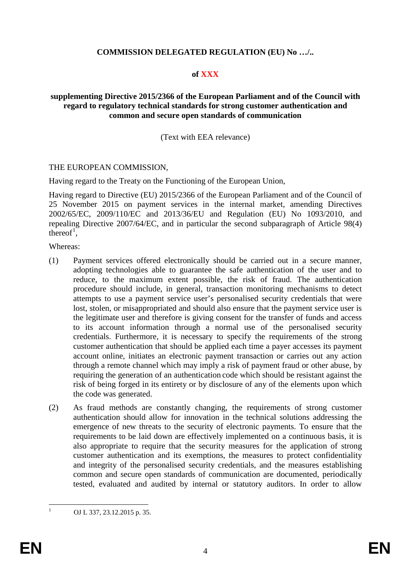#### **COMMISSION DELEGATED REGULATION (EU) No …/..**

#### **of XXX**

#### **supplementing Directive 2015/2366 of the European Parliament and of the Council with regard to regulatory technical standards for strong customer authentication and common and secure open standards of communication**

#### (Text with EEA relevance)

#### THE EUROPEAN COMMISSION,

Having regard to the Treaty on the Functioning of the European Union,

Having regard to Directive (EU) 2015/2366 of the European Parliament and of the Council of 25 November 2015 on payment services in the internal market, amending Directives 2002/65/EC, 2009/110/EC and 2013/36/EU and Regulation (EU) No 1093/2010, and repealing Directive 2007/64/EC, and in particular the second subparagraph of Article 98(4) thereof<sup>[1](#page-3-0)</sup>,

Whereas:

- (1) Payment services offered electronically should be carried out in a secure manner, adopting technologies able to guarantee the safe authentication of the user and to reduce, to the maximum extent possible, the risk of fraud. The authentication procedure should include, in general, transaction monitoring mechanisms to detect attempts to use a payment service user's personalised security credentials that were lost, stolen, or misappropriated and should also ensure that the payment service user is the legitimate user and therefore is giving consent for the transfer of funds and access to its account information through a normal use of the personalised security credentials. Furthermore, it is necessary to specify the requirements of the strong customer authentication that should be applied each time a payer accesses its payment account online, initiates an electronic payment transaction or carries out any action through a remote channel which may imply a risk of payment fraud or other abuse, by requiring the generation of an authentication code which should be resistant against the risk of being forged in its entirety or by disclosure of any of the elements upon which the code was generated.
- (2) As fraud methods are constantly changing, the requirements of strong customer authentication should allow for innovation in the technical solutions addressing the emergence of new threats to the security of electronic payments. To ensure that the requirements to be laid down are effectively implemented on a continuous basis, it is also appropriate to require that the security measures for the application of strong customer authentication and its exemptions, the measures to protect confidentiality and integrity of the personalised security credentials, and the measures establishing common and secure open standards of communication are documented, periodically tested, evaluated and audited by internal or statutory auditors. In order to allow

<span id="page-3-0"></span><sup>&</sup>lt;sup>1</sup> OJ L 337, 23.12.2015 p. 35.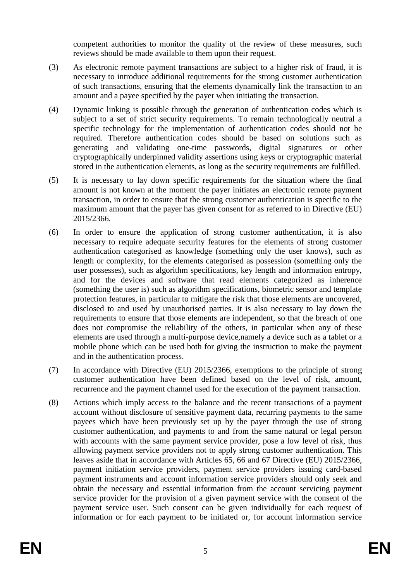competent authorities to monitor the quality of the review of these measures, such reviews should be made available to them upon their request.

- (3) As electronic remote payment transactions are subject to a higher risk of fraud, it is necessary to introduce additional requirements for the strong customer authentication of such transactions, ensuring that the elements dynamically link the transaction to an amount and a payee specified by the payer when initiating the transaction.
- (4) Dynamic linking is possible through the generation of authentication codes which is subject to a set of strict security requirements. To remain technologically neutral a specific technology for the implementation of authentication codes should not be required. Therefore authentication codes should be based on solutions such as generating and validating one-time passwords, digital signatures or other cryptographically underpinned validity assertions using keys or cryptographic material stored in the authentication elements, as long as the security requirements are fulfilled.
- (5) It is necessary to lay down specific requirements for the situation where the final amount is not known at the moment the payer initiates an electronic remote payment transaction, in order to ensure that the strong customer authentication is specific to the maximum amount that the payer has given consent for as referred to in Directive (EU) 2015/2366.
- (6) In order to ensure the application of strong customer authentication, it is also necessary to require adequate security features for the elements of strong customer authentication categorised as knowledge (something only the user knows), such as length or complexity, for the elements categorised as possession (something only the user possesses), such as algorithm specifications, key length and information entropy, and for the devices and software that read elements categorized as inherence (something the user is) such as algorithm specifications, biometric sensor and template protection features, in particular to mitigate the risk that those elements are uncovered, disclosed to and used by unauthorised parties. It is also necessary to lay down the requirements to ensure that those elements are independent, so that the breach of one does not compromise the reliability of the others, in particular when any of these elements are used through a multi-purpose device,namely a device such as a tablet or a mobile phone which can be used both for giving the instruction to make the payment and in the authentication process.
- (7) In accordance with Directive (EU) 2015/2366, exemptions to the principle of strong customer authentication have been defined based on the level of risk, amount, recurrence and the payment channel used for the execution of the payment transaction.
- (8) Actions which imply access to the balance and the recent transactions of a payment account without disclosure of sensitive payment data, recurring payments to the same payees which have been previously set up by the payer through the use of strong customer authentication, and payments to and from the same natural or legal person with accounts with the same payment service provider, pose a low level of risk, thus allowing payment service providers not to apply strong customer authentication. This leaves aside that in accordance with Articles 65, 66 and 67 Directive (EU) 2015/2366, payment initiation service providers, payment service providers issuing card-based payment instruments and account information service providers should only seek and obtain the necessary and essential information from the account servicing payment service provider for the provision of a given payment service with the consent of the payment service user. Such consent can be given individually for each request of information or for each payment to be initiated or, for account information service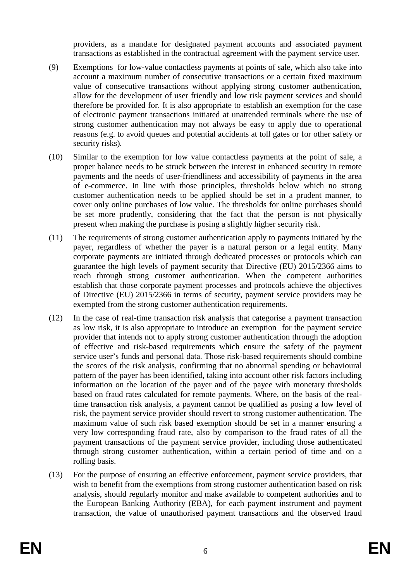providers, as a mandate for designated payment accounts and associated payment transactions as established in the contractual agreement with the payment service user.

- (9) Exemptions for low-value contactless payments at points of sale, which also take into account a maximum number of consecutive transactions or a certain fixed maximum value of consecutive transactions without applying strong customer authentication, allow for the development of user friendly and low risk payment services and should therefore be provided for. It is also appropriate to establish an exemption for the case of electronic payment transactions initiated at unattended terminals where the use of strong customer authentication may not always be easy to apply due to operational reasons (e.g. to avoid queues and potential accidents at toll gates or for other safety or security risks)*.*
- (10) Similar to the exemption for low value contactless payments at the point of sale, a proper balance needs to be struck between the interest in enhanced security in remote payments and the needs of user-friendliness and accessibility of payments in the area of e-commerce. In line with those principles, thresholds below which no strong customer authentication needs to be applied should be set in a prudent manner, to cover only online purchases of low value. The thresholds for online purchases should be set more prudently, considering that the fact that the person is not physically present when making the purchase is posing a slightly higher security risk.
- (11) The requirements of strong customer authentication apply to payments initiated by the payer, regardless of whether the payer is a natural person or a legal entity. Many corporate payments are initiated through dedicated processes or protocols which can guarantee the high levels of payment security that Directive (EU) 2015/2366 aims to reach through strong customer authentication. When the competent authorities establish that those corporate payment processes and protocols achieve the objectives of Directive (EU) 2015/2366 in terms of security, payment service providers may be exempted from the strong customer authentication requirements.
- (12) In the case of real-time transaction risk analysis that categorise a payment transaction as low risk, it is also appropriate to introduce an exemption for the payment service provider that intends not to apply strong customer authentication through the adoption of effective and risk-based requirements which ensure the safety of the payment service user's funds and personal data. Those risk-based requirements should combine the scores of the risk analysis, confirming that no abnormal spending or behavioural pattern of the payer has been identified, taking into account other risk factors including information on the location of the payer and of the payee with monetary thresholds based on fraud rates calculated for remote payments. Where, on the basis of the realtime transaction risk analysis, a payment cannot be qualified as posing a low level of risk, the payment service provider should revert to strong customer authentication. The maximum value of such risk based exemption should be set in a manner ensuring a very low corresponding fraud rate, also by comparison to the fraud rates of all the payment transactions of the payment service provider, including those authenticated through strong customer authentication, within a certain period of time and on a rolling basis.
- (13) For the purpose of ensuring an effective enforcement, payment service providers, that wish to benefit from the exemptions from strong customer authentication based on risk analysis, should regularly monitor and make available to competent authorities and to the European Banking Authority (EBA), for each payment instrument and payment transaction, the value of unauthorised payment transactions and the observed fraud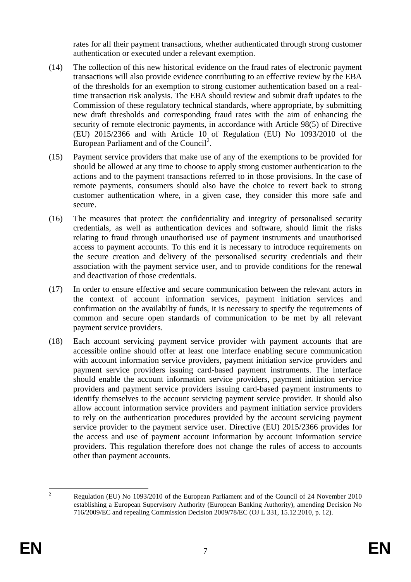rates for all their payment transactions, whether authenticated through strong customer authentication or executed under a relevant exemption.

- (14) The collection of this new historical evidence on the fraud rates of electronic payment transactions will also provide evidence contributing to an effective review by the EBA of the thresholds for an exemption to strong customer authentication based on a realtime transaction risk analysis. The EBA should review and submit draft updates to the Commission of these regulatory technical standards, where appropriate, by submitting new draft thresholds and corresponding fraud rates with the aim of enhancing the security of remote electronic payments, in accordance with Article 98(5) of Directive (EU) 2015/2366 and with Article 10 of Regulation (EU) No 1093/2010 of the European Parliament and of the Council<sup>[2](#page-6-0)</sup>.
- (15) Payment service providers that make use of any of the exemptions to be provided for should be allowed at any time to choose to apply strong customer authentication to the actions and to the payment transactions referred to in those provisions. In the case of remote payments, consumers should also have the choice to revert back to strong customer authentication where, in a given case, they consider this more safe and secure.
- (16) The measures that protect the confidentiality and integrity of personalised security credentials, as well as authentication devices and software, should limit the risks relating to fraud through unauthorised use of payment instruments and unauthorised access to payment accounts. To this end it is necessary to introduce requirements on the secure creation and delivery of the personalised security credentials and their association with the payment service user, and to provide conditions for the renewal and deactivation of those credentials.
- (17) In order to ensure effective and secure communication between the relevant actors in the context of account information services, payment initiation services and confirmation on the availabilty of funds, it is necessary to specify the requirements of common and secure open standards of communication to be met by all relevant payment service providers.
- (18) Each account servicing payment service provider with payment accounts that are accessible online should offer at least one interface enabling secure communication with account information service providers, payment initiation service providers and payment service providers issuing card-based payment instruments. The interface should enable the account information service providers, payment initiation service providers and payment service providers issuing card-based payment instruments to identify themselves to the account servicing payment service provider. It should also allow account information service providers and payment initiation service providers to rely on the authentication procedures provided by the account servicing payment service provider to the payment service user. Directive (EU) 2015/2366 provides for the access and use of payment account information by account information service providers. This regulation therefore does not change the rules of access to accounts other than payment accounts.

<span id="page-6-0"></span><sup>&</sup>lt;sup>2</sup> Regulation (EU) No 1093/2010 of the European Parliament and of the Council of 24 November 2010 establishing a European Supervisory Authority (European Banking Authority), amending Decision No 716/2009/EC and repealing Commission Decision 2009/78/EC (OJ L 331, 15.12.2010, p. 12).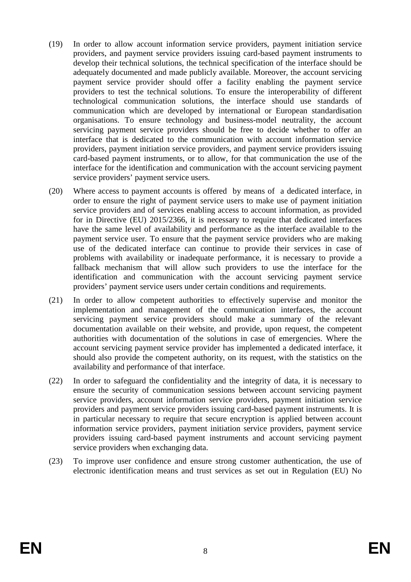- (19) In order to allow account information service providers, payment initiation service providers, and payment service providers issuing card-based payment instruments to develop their technical solutions, the technical specification of the interface should be adequately documented and made publicly available. Moreover, the account servicing payment service provider should offer a facility enabling the payment service providers to test the technical solutions. To ensure the interoperability of different technological communication solutions, the interface should use standards of communication which are developed by international or European standardisation organisations. To ensure technology and business-model neutrality, the account servicing payment service providers should be free to decide whether to offer an interface that is dedicated to the communication with account information service providers, payment initiation service providers, and payment service providers issuing card-based payment instruments, or to allow, for that communication the use of the interface for the identification and communication with the account servicing payment service providers' payment service users*.*
- (20) Where access to payment accounts is offered by means of a dedicated interface, in order to ensure the right of payment service users to make use of payment initiation service providers and of services enabling access to account information, as provided for in Directive (EU) 2015/2366, it is necessary to require that dedicated interfaces have the same level of availability and performance as the interface available to the payment service user. To ensure that the payment service providers who are making use of the dedicated interface can continue to provide their services in case of problems with availability or inadequate performance, it is necessary to provide a fallback mechanism that will allow such providers to use the interface for the identification and communication with the account servicing payment service providers' payment service users under certain conditions and requirements.
- (21) In order to allow competent authorities to effectively supervise and monitor the implementation and management of the communication interfaces, the account servicing payment service providers should make a summary of the relevant documentation available on their website, and provide, upon request, the competent authorities with documentation of the solutions in case of emergencies. Where the account servicing payment service provider has implemented a dedicated interface, it should also provide the competent authority, on its request, with the statistics on the availability and performance of that interface.
- (22) In order to safeguard the confidentiality and the integrity of data, it is necessary to ensure the security of communication sessions between account servicing payment service providers, account information service providers, payment initiation service providers and payment service providers issuing card-based payment instruments. It is in particular necessary to require that secure encryption is applied between account information service providers, payment initiation service providers, payment service providers issuing card-based payment instruments and account servicing payment service providers when exchanging data.
- (23) To improve user confidence and ensure strong customer authentication, the use of electronic identification means and trust services as set out in Regulation (EU) No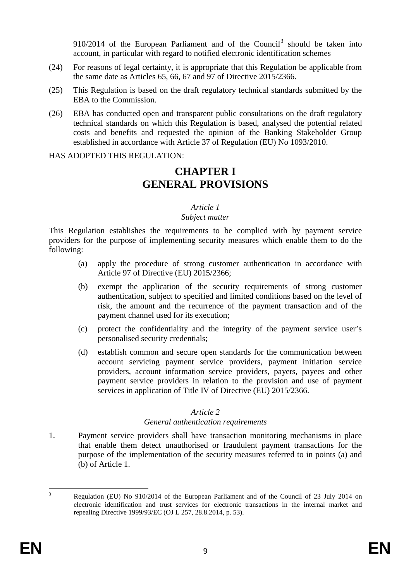$910/2014$  of the European Parliament and of the Council<sup>[3](#page-8-0)</sup> should be taken into account, in particular with regard to notified electronic identification schemes

- (24) For reasons of legal certainty, it is appropriate that this Regulation be applicable from the same date as Articles 65, 66, 67 and 97 of Directive 2015/2366.
- (25) This Regulation is based on the draft regulatory technical standards submitted by the EBA to the Commission.
- (26) EBA has conducted open and transparent public consultations on the draft regulatory technical standards on which this Regulation is based, analysed the potential related costs and benefits and requested the opinion of the Banking Stakeholder Group established in accordance with Article 37 of Regulation (EU) No 1093/2010.

HAS ADOPTED THIS REGULATION:

# **CHAPTER I GENERAL PROVISIONS**

## *Article 1*

#### *Subject matter*

This Regulation establishes the requirements to be complied with by payment service providers for the purpose of implementing security measures which enable them to do the following:

- (a) apply the procedure of strong customer authentication in accordance with Article 97 of Directive (EU) 2015/2366;
- (b) exempt the application of the security requirements of strong customer authentication, subject to specified and limited conditions based on the level of risk, the amount and the recurrence of the payment transaction and of the payment channel used for its execution;
- (c) protect the confidentiality and the integrity of the payment service user's personalised security credentials;
- (d) establish common and secure open standards for the communication between account servicing payment service providers, payment initiation service providers, account information service providers, payers, payees and other payment service providers in relation to the provision and use of payment services in application of Title IV of Directive (EU) 2015/2366.

## *Article 2*

## *General authentication requirements*

1. Payment service providers shall have transaction monitoring mechanisms in place that enable them detect unauthorised or fraudulent payment transactions for the purpose of the implementation of the security measures referred to in points (a) and (b) of Article 1.

<span id="page-8-0"></span><sup>&</sup>lt;sup>3</sup> Regulation (EU) No 910/2014 of the European Parliament and of the Council of 23 July 2014 on electronic identification and trust services for electronic transactions in the internal market and repealing Directive 1999/93/EC (OJ L 257, 28.8.2014, p. 53).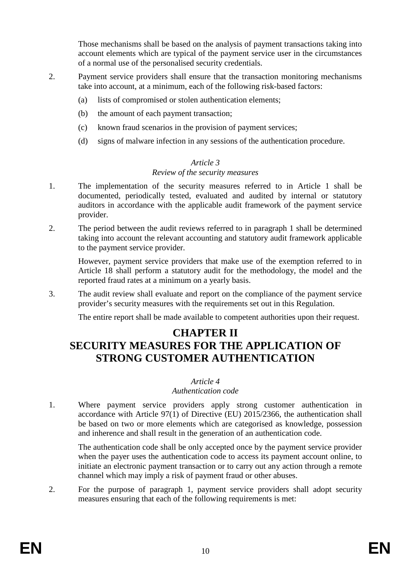Those mechanisms shall be based on the analysis of payment transactions taking into account elements which are typical of the payment service user in the circumstances of a normal use of the personalised security credentials.

- 2. Payment service providers shall ensure that the transaction monitoring mechanisms take into account, at a minimum, each of the following risk-based factors:
	- (a) lists of compromised or stolen authentication elements;
	- (b) the amount of each payment transaction;
	- (c) known fraud scenarios in the provision of payment services;
	- (d) signs of malware infection in any sessions of the authentication procedure.

#### *Article 3*

#### *Review of the security measures*

- 1. The implementation of the security measures referred to in Article 1 shall be documented, periodically tested, evaluated and audited by internal or statutory auditors in accordance with the applicable audit framework of the payment service provider.
- 2. The period between the audit reviews referred to in paragraph 1 shall be determined taking into account the relevant accounting and statutory audit framework applicable to the payment service provider.

However, payment service providers that make use of the exemption referred to in Article 18 shall perform a statutory audit for the methodology, the model and the reported fraud rates at a minimum on a yearly basis.

3. The audit review shall evaluate and report on the compliance of the payment service provider's security measures with the requirements set out in this Regulation.

The entire report shall be made available to competent authorities upon their request.

# **CHAPTER II**

# **SECURITY MEASURES FOR THE APPLICATION OF STRONG CUSTOMER AUTHENTICATION**

#### *Article 4*

#### *Authentication code*

1. Where payment service providers apply strong customer authentication in accordance with Article 97(1) of Directive (EU) 2015/2366, the authentication shall be based on two or more elements which are categorised as knowledge, possession and inherence and shall result in the generation of an authentication code.

The authentication code shall be only accepted once by the payment service provider when the payer uses the authentication code to access its payment account online, to initiate an electronic payment transaction or to carry out any action through a remote channel which may imply a risk of payment fraud or other abuses.

2. For the purpose of paragraph 1, payment service providers shall adopt security measures ensuring that each of the following requirements is met: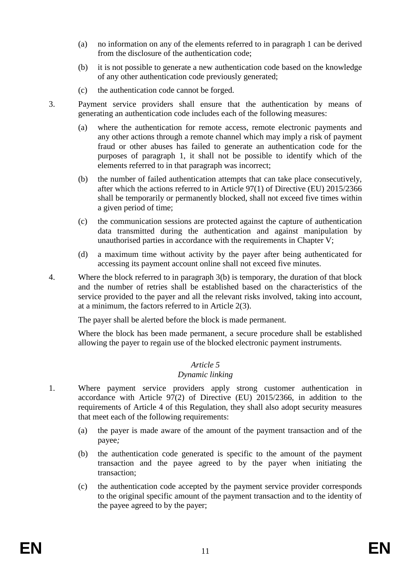- (a) no information on any of the elements referred to in paragraph 1 can be derived from the disclosure of the authentication code;
- (b) it is not possible to generate a new authentication code based on the knowledge of any other authentication code previously generated;
- (c) the authentication code cannot be forged.
- 3. Payment service providers shall ensure that the authentication by means of generating an authentication code includes each of the following measures:
	- (a) where the authentication for remote access, remote electronic payments and any other actions through a remote channel which may imply a risk of payment fraud or other abuses has failed to generate an authentication code for the purposes of paragraph 1, it shall not be possible to identify which of the elements referred to in that paragraph was incorrect;
	- (b) the number of failed authentication attempts that can take place consecutively*,* after which the actions referred to in Article 97(1) of Directive (EU) 2015/2366 shall be temporarily or permanently blocked, shall not exceed five times within a given period of time;
	- (c) the communication sessions are protected against the capture of authentication data transmitted during the authentication and against manipulation by unauthorised parties in accordance with the requirements in Chapter V;
	- (d) a maximum time without activity by the payer after being authenticated for accessing its payment account online shall not exceed five minutes.
- 4. Where the block referred to in paragraph 3(b) is temporary, the duration of that block and the number of retries shall be established based on the characteristics of the service provided to the payer and all the relevant risks involved, taking into account, at a minimum, the factors referred to in Article 2(3).

The payer shall be alerted before the block is made permanent.

Where the block has been made permanent, a secure procedure shall be established allowing the payer to regain use of the blocked electronic payment instruments.

## *Article 5*

## *Dynamic linking*

- 1. Where payment service providers apply strong customer authentication in accordance with Article 97(2) of Directive (EU) 2015/2366, in addition to the requirements of Article 4 of this Regulation, they shall also adopt security measures that meet each of the following requirements:
	- (a) the payer is made aware of the amount of the payment transaction and of the payee*;*
	- (b) the authentication code generated is specific to the amount of the payment transaction and the payee agreed to by the payer when initiating the transaction;
	- (c) the authentication code accepted by the payment service provider corresponds to the original specific amount of the payment transaction and to the identity of the payee agreed to by the payer;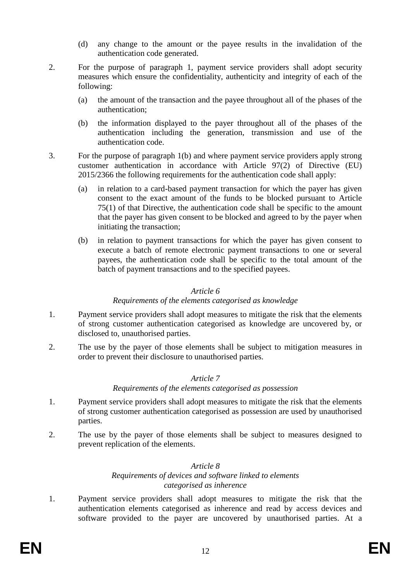- (d) any change to the amount or the payee results in the invalidation of the authentication code generated.
- 2. For the purpose of paragraph 1, payment service providers shall adopt security measures which ensure the confidentiality, authenticity and integrity of each of the following:
	- (a) the amount of the transaction and the payee throughout all of the phases of the authentication;
	- (b) the information displayed to the payer throughout all of the phases of the authentication including the generation, transmission and use of the authentication code.
- 3. For the purpose of paragraph 1(b) and where payment service providers apply strong customer authentication in accordance with Article 97(2) of Directive (EU) 2015/2366 the following requirements for the authentication code shall apply:
	- (a) in relation to a card-based payment transaction for which the payer has given consent to the exact amount of the funds to be blocked pursuant to Article 75(1) of that Directive, the authentication code shall be specific to the amount that the payer has given consent to be blocked and agreed to by the payer when initiating the transaction;
	- (b) in relation to payment transactions for which the payer has given consent to execute a batch of remote electronic payment transactions to one or several payees, the authentication code shall be specific to the total amount of the batch of payment transactions and to the specified payees.

#### *Article 6*

#### *Requirements of the elements categorised as knowledge*

- 1. Payment service providers shall adopt measures to mitigate the risk that the elements of strong customer authentication categorised as knowledge are uncovered by, or disclosed to, unauthorised parties.
- 2. The use by the payer of those elements shall be subject to mitigation measures in order to prevent their disclosure to unauthorised parties.

#### *Article 7*

*Requirements of the elements categorised as possession*

- 1. Payment service providers shall adopt measures to mitigate the risk that the elements of strong customer authentication categorised as possession are used by unauthorised parties.
- 2. The use by the payer of those elements shall be subject to measures designed to prevent replication of the elements.

#### *Article 8 Requirements of devices and software linked to elements categorised as inherence*

1. Payment service providers shall adopt measures to mitigate the risk that the authentication elements categorised as inherence and read by access devices and software provided to the payer are uncovered by unauthorised parties. At a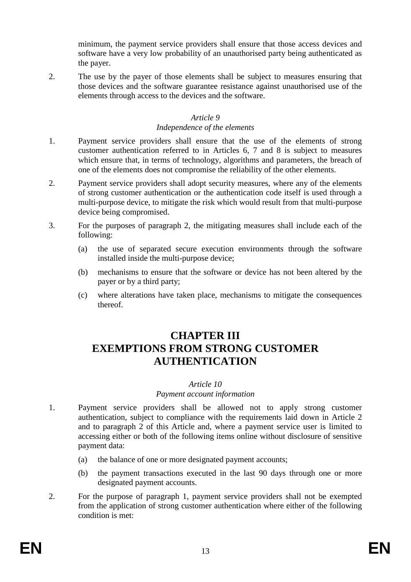minimum, the payment service providers shall ensure that those access devices and software have a very low probability of an unauthorised party being authenticated as the payer.

2. The use by the payer of those elements shall be subject to measures ensuring that those devices and the software guarantee resistance against unauthorised use of the elements through access to the devices and the software.

#### *Article 9*

#### *Independence of the elements*

- 1. Payment service providers shall ensure that the use of the elements of strong customer authentication referred to in Articles 6, 7 and 8 is subject to measures which ensure that, in terms of technology, algorithms and parameters, the breach of one of the elements does not compromise the reliability of the other elements.
- 2. Payment service providers shall adopt security measures, where any of the elements of strong customer authentication or the authentication code itself is used through a multi-purpose device, to mitigate the risk which would result from that multi-purpose device being compromised.
- 3. For the purposes of paragraph 2, the mitigating measures shall include each of the following:
	- (a) the use of separated secure execution environments through the software installed inside the multi-purpose device;
	- (b) mechanisms to ensure that the software or device has not been altered by the payer or by a third party;
	- (c) where alterations have taken place, mechanisms to mitigate the consequences thereof.

# **CHAPTER III EXEMPTIONS FROM STRONG CUSTOMER AUTHENTICATION**

## *Article 10*

## *Payment account information*

- 1. Payment service providers shall be allowed not to apply strong customer authentication, subject to compliance with the requirements laid down in Article 2 and to paragraph 2 of this Article and, where a payment service user is limited to accessing either or both of the following items online without disclosure of sensitive payment data:
	- (a) the balance of one or more designated payment accounts;
	- (b) the payment transactions executed in the last 90 days through one or more designated payment accounts.
- 2. For the purpose of paragraph 1, payment service providers shall not be exempted from the application of strong customer authentication where either of the following condition is met: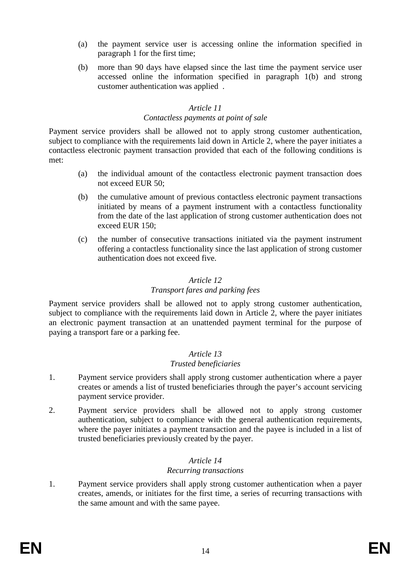- (a) the payment service user is accessing online the information specified in paragraph 1 for the first time;
- (b) more than 90 days have elapsed since the last time the payment service user accessed online the information specified in paragraph 1(b) and strong customer authentication was applied .

# *Article 11*

#### *Contactless payments at point of sale*

Payment service providers shall be allowed not to apply strong customer authentication, subject to compliance with the requirements laid down in Article 2, where the payer initiates a contactless electronic payment transaction provided that each of the following conditions is met:

- (a) the individual amount of the contactless electronic payment transaction does not exceed EUR 50;
- (b) the cumulative amount of previous contactless electronic payment transactions initiated by means of a payment instrument with a contactless functionality from the date of the last application of strong customer authentication does not exceed EUR 150;
- (c) the number of consecutive transactions initiated via the payment instrument offering a contactless functionality since the last application of strong customer authentication does not exceed five.

## *Article 12*

# *Transport fares and parking fees*

Payment service providers shall be allowed not to apply strong customer authentication, subject to compliance with the requirements laid down in Article 2, where the payer initiates an electronic payment transaction at an unattended payment terminal for the purpose of paying a transport fare or a parking fee.

#### *Article 13 Trusted beneficiaries*

- 1. Payment service providers shall apply strong customer authentication where a payer creates or amends a list of trusted beneficiaries through the payer's account servicing payment service provider.
- 2. Payment service providers shall be allowed not to apply strong customer authentication, subject to compliance with the general authentication requirements, where the payer initiates a payment transaction and the payee is included in a list of trusted beneficiaries previously created by the payer.

## *Article 14*

## *Recurring transactions*

1. Payment service providers shall apply strong customer authentication when a payer creates, amends, or initiates for the first time, a series of recurring transactions with the same amount and with the same payee.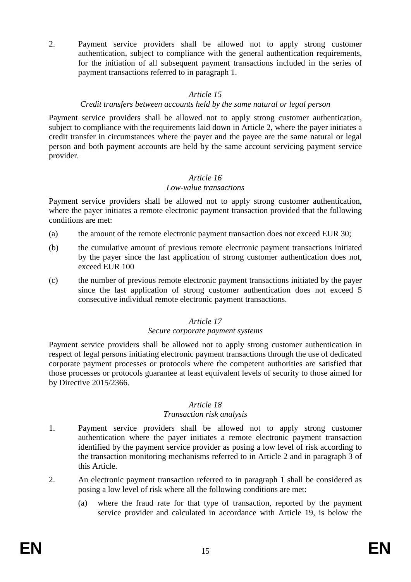2. Payment service providers shall be allowed not to apply strong customer authentication, subject to compliance with the general authentication requirements, for the initiation of all subsequent payment transactions included in the series of payment transactions referred to in paragraph 1.

# *Article 15*

# *Credit transfers between accounts held by the same natural or legal person*

Payment service providers shall be allowed not to apply strong customer authentication, subject to compliance with the requirements laid down in Article 2, where the payer initiates a credit transfer in circumstances where the payer and the payee are the same natural or legal person and both payment accounts are held by the same account servicing payment service provider.

# *Article 16*

# *Low-value transactions*

Payment service providers shall be allowed not to apply strong customer authentication, where the payer initiates a remote electronic payment transaction provided that the following conditions are met:

- (a) the amount of the remote electronic payment transaction does not exceed EUR 30;
- (b) the cumulative amount of previous remote electronic payment transactions initiated by the payer since the last application of strong customer authentication does not, exceed EUR 100
- (c) the number of previous remote electronic payment transactions initiated by the payer since the last application of strong customer authentication does not exceed 5 consecutive individual remote electronic payment transactions.

# *Article 17*

## *Secure corporate payment systems*

Payment service providers shall be allowed not to apply strong customer authentication in respect of legal persons initiating electronic payment transactions through the use of dedicated corporate payment processes or protocols where the competent authorities are satisfied that those processes or protocols guarantee at least equivalent levels of security to those aimed for by Directive 2015/2366.

## *Article 18*

## *Transaction risk analysis*

- 1. Payment service providers shall be allowed not to apply strong customer authentication where the payer initiates a remote electronic payment transaction identified by the payment service provider as posing a low level of risk according to the transaction monitoring mechanisms referred to in Article 2 and in paragraph 3 of this Article.
- 2. An electronic payment transaction referred to in paragraph 1 shall be considered as posing a low level of risk where all the following conditions are met:
	- (a) where the fraud rate for that type of transaction, reported by the payment service provider and calculated in accordance with Article 19, is below the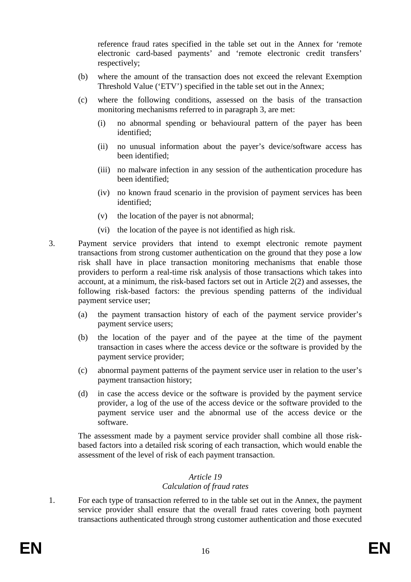reference fraud rates specified in the table set out in the Annex for 'remote electronic card-based payments' and 'remote electronic credit transfers' respectively;

- (b) where the amount of the transaction does not exceed the relevant Exemption Threshold Value ('ETV') specified in the table set out in the Annex;
- (c) where the following conditions, assessed on the basis of the transaction monitoring mechanisms referred to in paragraph 3, are met:
	- (i) no abnormal spending or behavioural pattern of the payer has been identified;
	- (ii) no unusual information about the payer's device/software access has been identified;
	- (iii) no malware infection in any session of the authentication procedure has been identified;
	- (iv) no known fraud scenario in the provision of payment services has been identified;
	- (v) the location of the payer is not abnormal;
	- (vi) the location of the payee is not identified as high risk.
- 3. Payment service providers that intend to exempt electronic remote payment transactions from strong customer authentication on the ground that they pose a low risk shall have in place transaction monitoring mechanisms that enable those providers to perform a real-time risk analysis of those transactions which takes into account, at a minimum, the risk-based factors set out in Article 2(2) and assesses, the following risk-based factors: the previous spending patterns of the individual payment service user;
	- (a) the payment transaction history of each of the payment service provider's payment service users;
	- (b) the location of the payer and of the payee at the time of the payment transaction in cases where the access device or the software is provided by the payment service provider;
	- (c) abnormal payment patterns of the payment service user in relation to the user's payment transaction history;
	- (d) in case the access device or the software is provided by the payment service provider, a log of the use of the access device or the software provided to the payment service user and the abnormal use of the access device or the software.

The assessment made by a payment service provider shall combine all those riskbased factors into a detailed risk scoring of each transaction, which would enable the assessment of the level of risk of each payment transaction.

## *Article 19*

## *Calculation of fraud rates*

1. For each type of transaction referred to in the table set out in the Annex, the payment service provider shall ensure that the overall fraud rates covering both payment transactions authenticated through strong customer authentication and those executed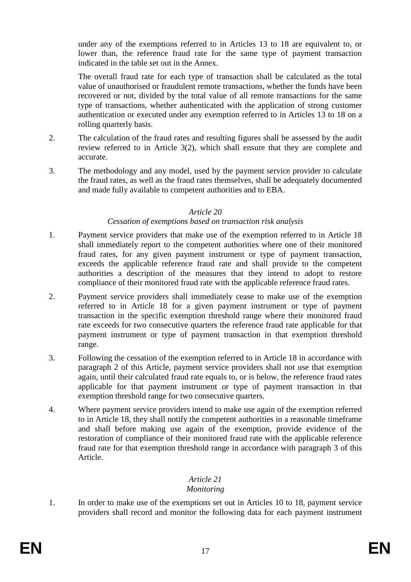under any of the exemptions referred to in Articles 13 to 18 are equivalent to, or lower than, the reference fraud rate for the same type of payment transaction indicated in the table set out in the Annex.

The overall fraud rate for each type of transaction shall be calculated as the total value of unauthorised or fraudulent remote transactions, whether the funds have been recovered or not, divided by the total value of all remote transactions for the same type of transactions, whether authenticated with the application of strong customer authentication or executed under any exemption referred to in Articles 13 to 18 on a rolling quarterly basis.

- 2. The calculation of the fraud rates and resulting figures shall be assessed by the audit review referred to in Article 3(2), which shall ensure that they are complete and accurate.
- 3. The methodology and any model, used by the payment service provider to calculate the fraud rates, as well as the fraud rates themselves, shall be adequately documented and made fully available to competent authorities and to EBA.

#### *Article 20*

#### *Cessation of exemptions based on transaction risk analysis*

- 1. Payment service providers that make use of the exemption referred to in Article 18 shall immediately report to the competent authorities where one of their monitored fraud rates, for any given payment instrument or type of payment transaction, exceeds the applicable reference fraud rate and shall provide to the competent authorities a description of the measures that they intend to adopt to restore compliance of their monitored fraud rate with the applicable reference fraud rates.
- 2. Payment service providers shall immediately cease to make use of the exemption referred to in Article 18 for a given payment instrument or type of payment transaction in the specific exemption threshold range where their monitored fraud rate exceeds for two consecutive quarters the reference fraud rate applicable for that payment instrument or type of payment transaction in that exemption threshold range.
- 3. Following the cessation of the exemption referred to in Article 18 in accordance with paragraph 2 of this Article, payment service providers shall not use that exemption again, until their calculated fraud rate equals to, or is below, the reference fraud rates applicable for that payment instrument or type of payment transaction in that exemption threshold range for two consecutive quarters.
- 4. Where payment service providers intend to make use again of the exemption referred to in Article 18, they shall notify the competent authorities in a reasonable timeframe and shall before making use again of the exemption, provide evidence of the restoration of compliance of their monitored fraud rate with the applicable reference fraud rate for that exemption threshold range in accordance with paragraph 3 of this Article.

## *Article 21*

## *Monitoring*

1. In order to make use of the exemptions set out in Articles 10 to 18, payment service providers shall record and monitor the following data for each payment instrument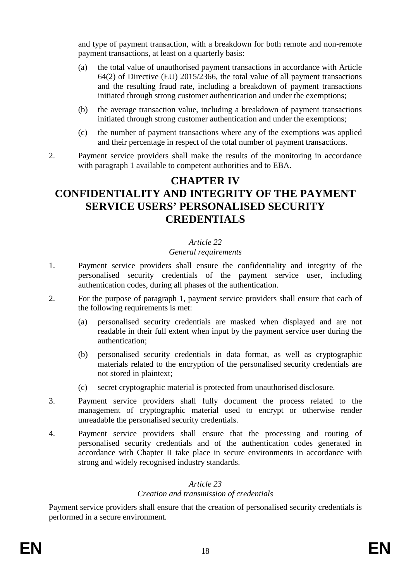and type of payment transaction, with a breakdown for both remote and non-remote payment transactions, at least on a quarterly basis:

- (a) the total value of unauthorised payment transactions in accordance with Article 64(2) of Directive (EU) 2015/2366, the total value of all payment transactions and the resulting fraud rate, including a breakdown of payment transactions initiated through strong customer authentication and under the exemptions;
- (b) the average transaction value, including a breakdown of payment transactions initiated through strong customer authentication and under the exemptions;
- (c) the number of payment transactions where any of the exemptions was applied and their percentage in respect of the total number of payment transactions.
- 2. Payment service providers shall make the results of the monitoring in accordance with paragraph 1 available to competent authorities and to EBA.

# **CHAPTER IV CONFIDENTIALITY AND INTEGRITY OF THE PAYMENT SERVICE USERS' PERSONALISED SECURITY CREDENTIALS**

# *Article 22*

## *General requirements*

- 1. Payment service providers shall ensure the confidentiality and integrity of the personalised security credentials of the payment service user, including authentication codes, during all phases of the authentication.
- 2. For the purpose of paragraph 1, payment service providers shall ensure that each of the following requirements is met:
	- (a) personalised security credentials are masked when displayed and are not readable in their full extent when input by the payment service user during the authentication;
	- (b) personalised security credentials in data format, as well as cryptographic materials related to the encryption of the personalised security credentials are not stored in plaintext;
	- (c) secret cryptographic material is protected from unauthorised disclosure.
- 3. Payment service providers shall fully document the process related to the management of cryptographic material used to encrypt or otherwise render unreadable the personalised security credentials.
- 4. Payment service providers shall ensure that the processing and routing of personalised security credentials and of the authentication codes generated in accordance with Chapter II take place in secure environments in accordance with strong and widely recognised industry standards.

## *Article 23*

## *Creation and transmission of credentials*

Payment service providers shall ensure that the creation of personalised security credentials is performed in a secure environment.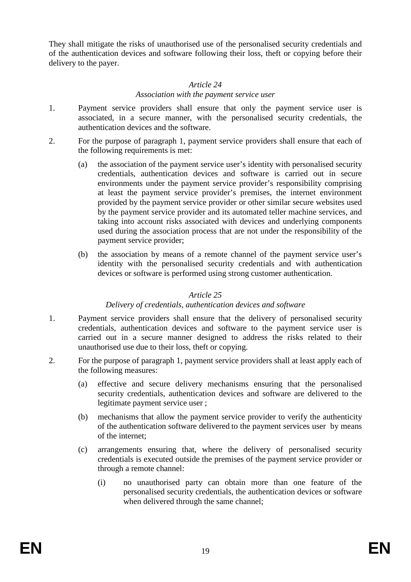They shall mitigate the risks of unauthorised use of the personalised security credentials and of the authentication devices and software following their loss, theft or copying before their delivery to the payer.

# *Article 24 Association with the payment service user*

- 1. Payment service providers shall ensure that only the payment service user is associated, in a secure manner, with the personalised security credentials, the authentication devices and the software.
- 2. For the purpose of paragraph 1, payment service providers shall ensure that each of the following requirements is met:
	- (a) the association of the payment service user's identity with personalised security credentials, authentication devices and software is carried out in secure environments under the payment service provider's responsibility comprising at least the payment service provider's premises, the internet environment provided by the payment service provider or other similar secure websites used by the payment service provider and its automated teller machine services, and taking into account risks associated with devices and underlying components used during the association process that are not under the responsibility of the payment service provider;
	- (b) the association by means of a remote channel of the payment service user's identity with the personalised security credentials and with authentication devices or software is performed using strong customer authentication.

#### *Article 25*

#### *Delivery of credentials, authentication devices and software*

- 1. Payment service providers shall ensure that the delivery of personalised security credentials, authentication devices and software to the payment service user is carried out in a secure manner designed to address the risks related to their unauthorised use due to their loss, theft or copying.
- 2. For the purpose of paragraph 1, payment service providers shall at least apply each of the following measures:
	- (a) effective and secure delivery mechanisms ensuring that the personalised security credentials, authentication devices and software are delivered to the legitimate payment service user ;
	- (b) mechanisms that allow the payment service provider to verify the authenticity of the authentication software delivered to the payment services user by means of the internet;
	- (c) arrangements ensuring that, where the delivery of personalised security credentials is executed outside the premises of the payment service provider or through a remote channel:
		- (i) no unauthorised party can obtain more than one feature of the personalised security credentials, the authentication devices or software when delivered through the same channel;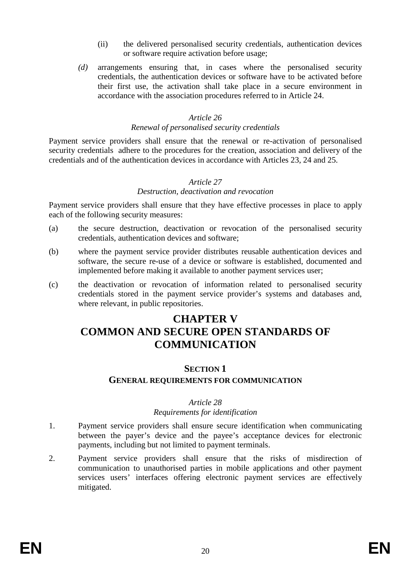- (ii) the delivered personalised security credentials, authentication devices or software require activation before usage;
- *(d)* arrangements ensuring that, in cases where the personalised security credentials, the authentication devices or software have to be activated before their first use, the activation shall take place in a secure environment in accordance with the association procedures referred to in Article 24.

#### *Article 26*

#### *Renewal of personalised security credentials*

Payment service providers shall ensure that the renewal or re-activation of personalised security credentials adhere to the procedures for the creation, association and delivery of the credentials and of the authentication devices in accordance with Articles 23, 24 and 25.

#### *Article 27 Destruction, deactivation and revocation*

Payment service providers shall ensure that they have effective processes in place to apply each of the following security measures:

- (a) the secure destruction, deactivation or revocation of the personalised security credentials, authentication devices and software;
- (b) where the payment service provider distributes reusable authentication devices and software, the secure re-use of a device or software is established, documented and implemented before making it available to another payment services user;
- (c) the deactivation or revocation of information related to personalised security credentials stored in the payment service provider's systems and databases and, where relevant, in public repositories.

# **CHAPTER V COMMON AND SECURE OPEN STANDARDS OF COMMUNICATION**

# **SECTION 1 GENERAL REQUIREMENTS FOR COMMUNICATION**

#### *Article 28*

#### *Requirements for identification*

- 1. Payment service providers shall ensure secure identification when communicating between the payer's device and the payee's acceptance devices for electronic payments, including but not limited to payment terminals.
- 2. Payment service providers shall ensure that the risks of misdirection of communication to unauthorised parties in mobile applications and other payment services users' interfaces offering electronic payment services are effectively mitigated.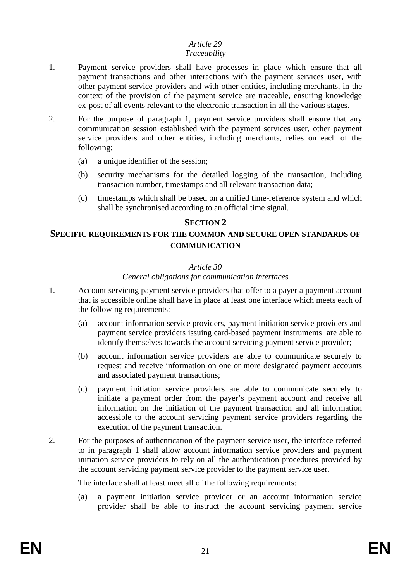#### *Article 29 Traceability*

- 1. Payment service providers shall have processes in place which ensure that all payment transactions and other interactions with the payment services user, with other payment service providers and with other entities, including merchants, in the context of the provision of the payment service are traceable, ensuring knowledge ex-post of all events relevant to the electronic transaction in all the various stages.
- 2. For the purpose of paragraph 1, payment service providers shall ensure that any communication session established with the payment services user, other payment service providers and other entities, including merchants, relies on each of the following:
	- (a) a unique identifier of the session;
	- (b) security mechanisms for the detailed logging of the transaction, including transaction number, timestamps and all relevant transaction data;
	- (c) timestamps which shall be based on a unified time-reference system and which shall be synchronised according to an official time signal.

## **SECTION 2**

#### **SPECIFIC REQUIREMENTS FOR THE COMMON AND SECURE OPEN STANDARDS OF COMMUNICATION**

#### *Article 30*

#### *General obligations for communication interfaces*

- 1. Account servicing payment service providers that offer to a payer a payment account that is accessible online shall have in place at least one interface which meets each of the following requirements:
	- (a) account information service providers, payment initiation service providers and payment service providers issuing card-based payment instruments are able to identify themselves towards the account servicing payment service provider;
	- (b) account information service providers are able to communicate securely to request and receive information on one or more designated payment accounts and associated payment transactions;
	- (c) payment initiation service providers are able to communicate securely to initiate a payment order from the payer's payment account and receive all information on the initiation of the payment transaction and all information accessible to the account servicing payment service providers regarding the execution of the payment transaction.
- 2. For the purposes of authentication of the payment service user, the interface referred to in paragraph 1 shall allow account information service providers and payment initiation service providers to rely on all the authentication procedures provided by the account servicing payment service provider to the payment service user.

The interface shall at least meet all of the following requirements:

(a) a payment initiation service provider or an account information service provider shall be able to instruct the account servicing payment service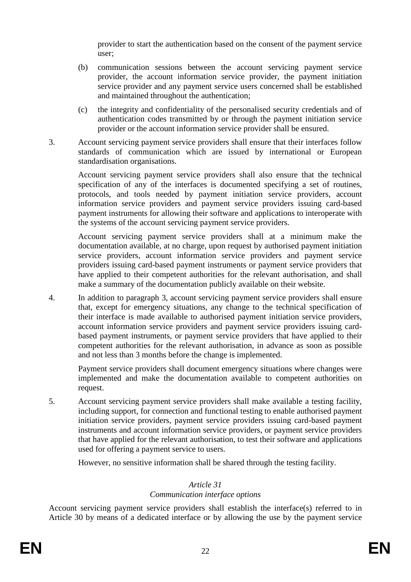provider to start the authentication based on the consent of the payment service user;

- (b) communication sessions between the account servicing payment service provider, the account information service provider, the payment initiation service provider and any payment service users concerned shall be established and maintained throughout the authentication;
- (c) the integrity and confidentiality of the personalised security credentials and of authentication codes transmitted by or through the payment initiation service provider or the account information service provider shall be ensured.
- 3. Account servicing payment service providers shall ensure that their interfaces follow standards of communication which are issued by international or European standardisation organisations.

Account servicing payment service providers shall also ensure that the technical specification of any of the interfaces is documented specifying a set of routines, protocols, and tools needed by payment initiation service providers, account information service providers and payment service providers issuing card-based payment instruments for allowing their software and applications to interoperate with the systems of the account servicing payment service providers.

Account servicing payment service providers shall at a minimum make the documentation available, at no charge, upon request by authorised payment initiation service providers, account information service providers and payment service providers issuing card-based payment instruments or payment service providers that have applied to their competent authorities for the relevant authorisation, and shall make a summary of the documentation publicly available on their website.

4. In addition to paragraph 3, account servicing payment service providers shall ensure that, except for emergency situations, any change to the technical specification of their interface is made available to authorised payment initiation service providers, account information service providers and payment service providers issuing cardbased payment instruments, or payment service providers that have applied to their competent authorities for the relevant authorisation, in advance as soon as possible and not less than 3 months before the change is implemented.

Payment service providers shall document emergency situations where changes were implemented and make the documentation available to competent authorities on request.

5. Account servicing payment service providers shall make available a testing facility, including support, for connection and functional testing to enable authorised payment initiation service providers, payment service providers issuing card-based payment instruments and account information service providers, or payment service providers that have applied for the relevant authorisation, to test their software and applications used for offering a payment service to users.

However, no sensitive information shall be shared through the testing facility.

# *Article 31*

# *Communication interface options*

Account servicing payment service providers shall establish the interface(s) referred to in Article 30 by means of a dedicated interface or by allowing the use by the payment service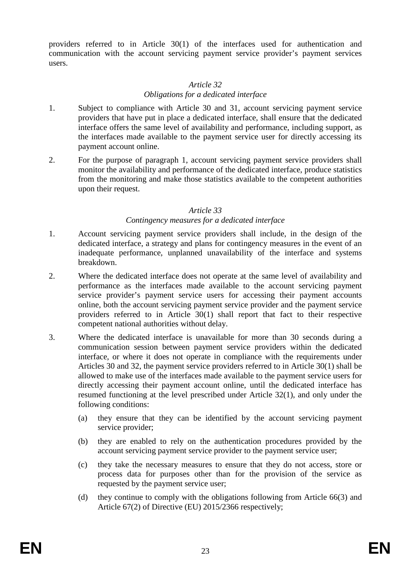providers referred to in Article 30(1) of the interfaces used for authentication and communication with the account servicing payment service provider's payment services users.

## *Article 32 Obligations for a dedicated interface*

- 1. Subject to compliance with Article 30 and 31, account servicing payment service providers that have put in place a dedicated interface, shall ensure that the dedicated interface offers the same level of availability and performance, including support, as the interfaces made available to the payment service user for directly accessing its payment account online.
- 2. For the purpose of paragraph 1, account servicing payment service providers shall monitor the availability and performance of the dedicated interface, produce statistics from the monitoring and make those statistics available to the competent authorities upon their request.

#### *Article 33*

#### *Contingency measures for a dedicated interface*

- 1. Account servicing payment service providers shall include, in the design of the dedicated interface, a strategy and plans for contingency measures in the event of an inadequate performance, unplanned unavailability of the interface and systems breakdown.
- 2. Where the dedicated interface does not operate at the same level of availability and performance as the interfaces made available to the account servicing payment service provider's payment service users for accessing their payment accounts online, both the account servicing payment service provider and the payment service providers referred to in Article 30(1) shall report that fact to their respective competent national authorities without delay.
- 3. Where the dedicated interface is unavailable for more than 30 seconds during a communication session between payment service providers within the dedicated interface, or where it does not operate in compliance with the requirements under Articles 30 and 32, the payment service providers referred to in Article 30(1) shall be allowed to make use of the interfaces made available to the payment service users for directly accessing their payment account online, until the dedicated interface has resumed functioning at the level prescribed under Article 32(1), and only under the following conditions:
	- (a) they ensure that they can be identified by the account servicing payment service provider;
	- (b) they are enabled to rely on the authentication procedures provided by the account servicing payment service provider to the payment service user;
	- (c) they take the necessary measures to ensure that they do not access, store or process data for purposes other than for the provision of the service as requested by the payment service user;
	- (d) they continue to comply with the obligations following from Article 66(3) and Article 67(2) of Directive (EU) 2015/2366 respectively;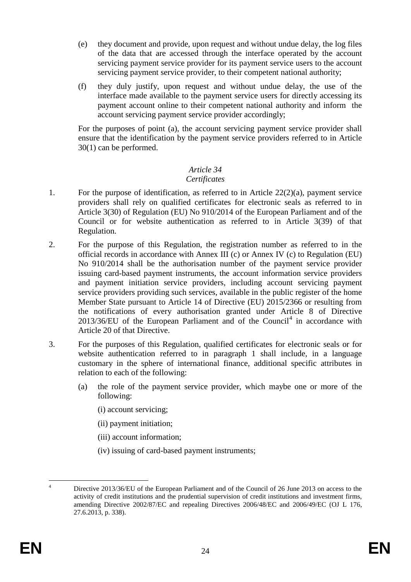- (e) they document and provide, upon request and without undue delay, the log files of the data that are accessed through the interface operated by the account servicing payment service provider for its payment service users to the account servicing payment service provider, to their competent national authority;
- (f) they duly justify, upon request and without undue delay, the use of the interface made available to the payment service users for directly accessing its payment account online to their competent national authority and inform the account servicing payment service provider accordingly;

For the purposes of point (a), the account servicing payment service provider shall ensure that the identification by the payment service providers referred to in Article 30(1) can be performed.

#### *Article 34 Certificates*

- 1. For the purpose of identification, as referred to in Article 22(2)(a), payment service providers shall rely on qualified certificates for electronic seals as referred to in Article 3(30) of Regulation (EU) No 910/2014 of the European Parliament and of the Council or for website authentication as referred to in Article 3(39) of that Regulation.
- 2. For the purpose of this Regulation, the registration number as referred to in the official records in accordance with Annex III (c) or Annex IV (c) to Regulation (EU) No 910/2014 shall be the authorisation number of the payment service provider issuing card-based payment instruments, the account information service providers and payment initiation service providers, including account servicing payment service providers providing such services, available in the public register of the home Member State pursuant to Article 14 of Directive (EU) 2015/2366 or resulting from the notifications of every authorisation granted under Article 8 of Directive  $2013/36/EU$  of the European Parliament and of the Council<sup>[4](#page-23-0)</sup> in accordance with Article 20 of that Directive.
- 3. For the purposes of this Regulation, qualified certificates for electronic seals or for website authentication referred to in paragraph 1 shall include, in a language customary in the sphere of international finance, additional specific attributes in relation to each of the following:
	- (a) the role of the payment service provider, which maybe one or more of the following:
		- (i) account servicing;
		- (ii) payment initiation;
		- (iii) account information;
		- (iv) issuing of card-based payment instruments;

<span id="page-23-0"></span><sup>&</sup>lt;sup>4</sup> Directive 2013/36/EU of the European Parliament and of the Council of 26 June 2013 on access to the activity of credit institutions and the prudential supervision of credit institutions and investment firms, amending Directive 2002/87/EC and repealing Directives 2006/48/EC and 2006/49/EC (OJ L 176, 27.6.2013, p. 338).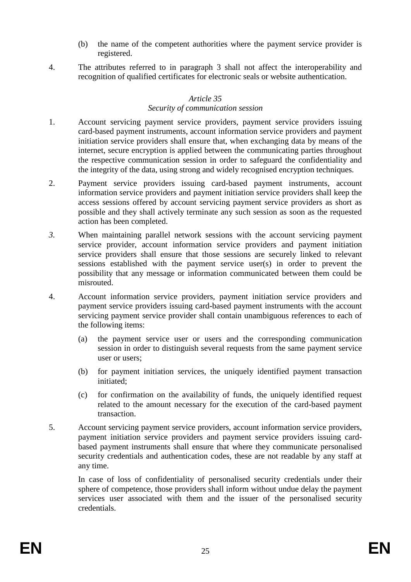- (b) the name of the competent authorities where the payment service provider is registered.
- 4. The attributes referred to in paragraph 3 shall not affect the interoperability and recognition of qualified certificates for electronic seals or website authentication.

## *Article 35*

#### *Security of communication session*

- 1. Account servicing payment service providers, payment service providers issuing card-based payment instruments, account information service providers and payment initiation service providers shall ensure that, when exchanging data by means of the internet, secure encryption is applied between the communicating parties throughout the respective communication session in order to safeguard the confidentiality and the integrity of the data, using strong and widely recognised encryption techniques.
- 2. Payment service providers issuing card-based payment instruments, account information service providers and payment initiation service providers shall keep the access sessions offered by account servicing payment service providers as short as possible and they shall actively terminate any such session as soon as the requested action has been completed.
- *3.* When maintaining parallel network sessions with the account servicing payment service provider, account information service providers and payment initiation service providers shall ensure that those sessions are securely linked to relevant sessions established with the payment service user(s) in order to prevent the possibility that any message or information communicated between them could be misrouted.
- 4. Account information service providers, payment initiation service providers and payment service providers issuing card-based payment instruments with the account servicing payment service provider shall contain unambiguous references to each of the following items:
	- (a) the payment service user or users and the corresponding communication session in order to distinguish several requests from the same payment service user or users;
	- (b) for payment initiation services, the uniquely identified payment transaction initiated;
	- (c) for confirmation on the availability of funds, the uniquely identified request related to the amount necessary for the execution of the card-based payment transaction.
- 5. Account servicing payment service providers, account information service providers, payment initiation service providers and payment service providers issuing cardbased payment instruments shall ensure that where they communicate personalised security credentials and authentication codes, these are not readable by any staff at any time.

In case of loss of confidentiality of personalised security credentials under their sphere of competence, those providers shall inform without undue delay the payment services user associated with them and the issuer of the personalised security credentials.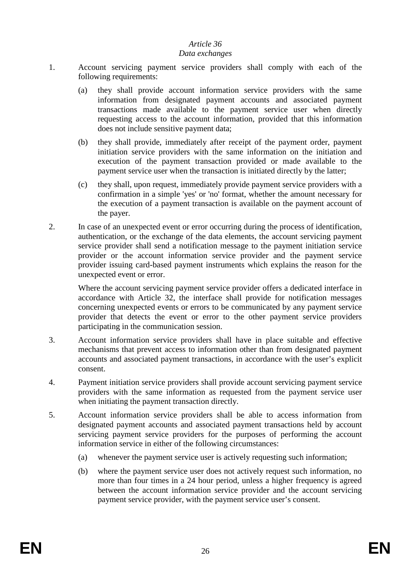## *Article 36*

#### *Data exchanges*

- 1. Account servicing payment service providers shall comply with each of the following requirements:
	- (a) they shall provide account information service providers with the same information from designated payment accounts and associated payment transactions made available to the payment service user when directly requesting access to the account information, provided that this information does not include sensitive payment data;
	- (b) they shall provide, immediately after receipt of the payment order, payment initiation service providers with the same information on the initiation and execution of the payment transaction provided or made available to the payment service user when the transaction is initiated directly by the latter;
	- (c) they shall, upon request, immediately provide payment service providers with a confirmation in a simple 'yes' or 'no' format, whether the amount necessary for the execution of a payment transaction is available on the payment account of the payer.
- 2. In case of an unexpected event or error occurring during the process of identification, authentication, or the exchange of the data elements, the account servicing payment service provider shall send a notification message to the payment initiation service provider or the account information service provider and the payment service provider issuing card-based payment instruments which explains the reason for the unexpected event or error.

Where the account servicing payment service provider offers a dedicated interface in accordance with Article 32, the interface shall provide for notification messages concerning unexpected events or errors to be communicated by any payment service provider that detects the event or error to the other payment service providers participating in the communication session.

- 3. Account information service providers shall have in place suitable and effective mechanisms that prevent access to information other than from designated payment accounts and associated payment transactions, in accordance with the user's explicit consent.
- 4. Payment initiation service providers shall provide account servicing payment service providers with the same information as requested from the payment service user when initiating the payment transaction directly.
- 5. Account information service providers shall be able to access information from designated payment accounts and associated payment transactions held by account servicing payment service providers for the purposes of performing the account information service in either of the following circumstances:
	- (a) whenever the payment service user is actively requesting such information;
	- (b) where the payment service user does not actively request such information, no more than four times in a 24 hour period, unless a higher frequency is agreed between the account information service provider and the account servicing payment service provider, with the payment service user's consent.